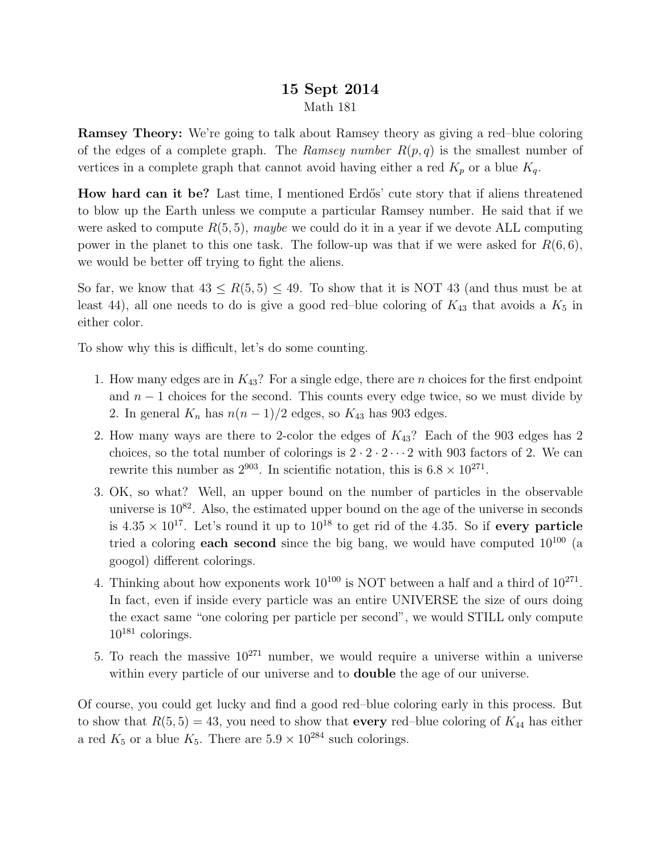## 15 Sept 2014 Math 181

Ramsey Theory: We're going to talk about Ramsey theory as giving a red–blue coloring of the edges of a complete graph. The Ramsey number  $R(p, q)$  is the smallest number of vertices in a complete graph that cannot avoid having either a red  $K_p$  or a blue  $K_q$ .

How hard can it be? Last time, I mentioned Erdős' cute story that if aliens threatened to blow up the Earth unless we compute a particular Ramsey number. He said that if we were asked to compute  $R(5, 5)$ , maybe we could do it in a year if we devote ALL computing power in the planet to this one task. The follow-up was that if we were asked for  $R(6,6)$ , we would be better off trying to fight the aliens.

So far, we know that  $43 \le R(5, 5) \le 49$ . To show that it is NOT 43 (and thus must be at least 44), all one needs to do is give a good red–blue coloring of  $K_{43}$  that avoids a  $K_5$  in either color.

To show why this is difficult, let's do some counting.

- 1. How many edges are in  $K_{43}$ ? For a single edge, there are *n* choices for the first endpoint and  $n-1$  choices for the second. This counts every edge twice, so we must divide by 2. In general  $K_n$  has  $n(n-1)/2$  edges, so  $K_{43}$  has 903 edges.
- 2. How many ways are there to 2-color the edges of  $K_{43}$ ? Each of the 903 edges has 2 choices, so the total number of colorings is  $2 \cdot 2 \cdot 2 \cdot \cdot \cdot 2$  with 903 factors of 2. We can rewrite this number as  $2^{903}$ . In scientific notation, this is  $6.8 \times 10^{271}$ .
- 3. OK, so what? Well, an upper bound on the number of particles in the observable universe is  $10^{82}$ . Also, the estimated upper bound on the age of the universe in seconds is  $4.35 \times 10^{17}$ . Let's round it up to  $10^{18}$  to get rid of the 4.35. So if every particle tried a coloring **each second** since the big bang, we would have computed  $10^{100}$  (a googol) different colorings.
- 4. Thinking about how exponents work  $10^{100}$  is NOT between a half and a third of  $10^{271}$ . In fact, even if inside every particle was an entire UNIVERSE the size of ours doing the exact same "one coloring per particle per second", we would STILL only compute  $10^{181}$  colorings.
- 5. To reach the massive  $10^{271}$  number, we would require a universe within a universe within every particle of our universe and to **double** the age of our universe.

Of course, you could get lucky and find a good red–blue coloring early in this process. But to show that  $R(5, 5) = 43$ , you need to show that every red–blue coloring of  $K_{44}$  has either a red  $K_5$  or a blue  $K_5$ . There are  $5.9 \times 10^{284}$  such colorings.